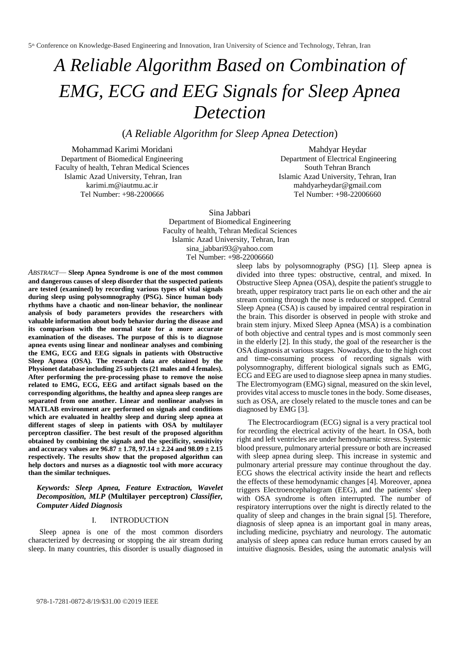5<sup>th</sup> Conference on Knowledge-Based Engineering and Innovation, Iran University of Science and Technology, Tehran, Iran

# *A Reliable Algorithm Based on Combination of EMG, ECG and EEG Signals for Sleep Apnea Detection*

(*A Reliable Algorithm for Sleep Apnea Detection*)

Mohammad Karimi Moridani Department of Biomedical Engineering Faculty of health, Tehran Medical Sciences Islamic Azad University, Tehran, Iran karimi.m@iautmu.ac.ir Tel Number: +98-2200666

Mahdyar Heydar Department of Electrical Engineering South Tehran Branch Islamic Azad University, Tehran, Iran mahdyarheydar@gmail.com Tel Number: +98-22006660

Sina Jabbari Department of Biomedical Engineering Faculty of health, Tehran Medical Sciences Islamic Azad University, Tehran, Iran sina\_jabbari93@yahoo.com Tel Number: +98-22006660

*ABSTRACT*— **Sleep Apnea Syndrome is one of the most common and dangerous causes of sleep disorder that the suspected patients are tested (examined) by recording various types of vital signals during sleep using polysomnography (PSG). Since human body rhythms have a chaotic and non-linear behavior, the nonlinear analysis of body parameters provides the researchers with valuable information about body behavior during the disease and its comparison with the normal state for a more accurate examination of the diseases. The purpose of this is to diagnose apnea events using linear and nonlinear analyses and combining the EMG, ECG and EEG signals in patients with Obstructive Sleep Apnea (OSA). The research data are obtained by the Physionet database including 25 subjects (21 males and 4 females). After performing the pre-processing phase to remove the noise related to EMG, ECG, EEG and artifact signals based on the corresponding algorithms, the healthy and apnea sleep ranges are separated from one another. Linear and nonlinear analyses in MATLAB environment are performed on signals and conditions which are evaluated in healthy sleep and during sleep apnea at different stages of sleep in patients with OSA by multilayer perceptron classifier. The best result of the proposed algorithm obtained by combining the signals and the specificity, sensitivity and accuracy values are 96.87 ± 1.78, 97.14 ± 2.24 and 98.09 ± 2.15 respectively. The results show that the proposed algorithm can help doctors and nurses as a diagnostic tool with more accuracy than the similar techniques.**

*Keywords: Sleep Apnea, Feature Extraction, Wavelet Decomposition, MLP* **(Multilayer perceptron)** *Classifier, Computer Aided Diagnosis*

# I. INTRODUCTION

Sleep apnea is one of the most common disorders characterized by decreasing or stopping the air stream during sleep. In many countries, this disorder is usually diagnosed in

sleep labs by polysomnography (PSG) [1]. Sleep apnea is divided into three types: obstructive, central, and mixed. In Obstructive Sleep Apnea (OSA), despite the patient's struggle to breath, upper respiratory tract parts lie on each other and the air stream coming through the nose is reduced or stopped. Central Sleep Apnea (CSA) is caused by impaired central respiration in the brain. This disorder is observed in people with stroke and brain stem injury. Mixed Sleep Apnea (MSA) is a combination of both objective and central types and is most commonly seen in the elderly [2]. In this study, the goal of the researcher is the OSA diagnosis at various stages. Nowadays, due to the high cost and time-consuming process of recording signals with polysomnography, different biological signals such as EMG, ECG and EEG are used to diagnose sleep apnea in many studies. The Electromyogram (EMG) signal, measured on the skin level, provides vital access to muscle tones in the body. Some diseases, such as OSA, are closely related to the muscle tones and can be diagnosed by EMG [3].

The Electrocardiogram (ECG) signal is a very practical tool for recording the electrical activity of the heart. In OSA, both right and left ventricles are under hemodynamic stress. Systemic blood pressure, pulmonary arterial pressure or both are increased with sleep apnea during sleep. This increase in systemic and pulmonary arterial pressure may continue throughout the day. ECG shows the electrical activity inside the heart and reflects the effects of these hemodynamic changes [4]. Moreover, apnea triggers Electroencephalogram (EEG), and the patients' sleep with OSA syndrome is often interrupted. The number of respiratory interruptions over the night is directly related to the quality of sleep and changes in the brain signal [5]. Therefore, diagnosis of sleep apnea is an important goal in many areas, including medicine, psychiatry and neurology. The automatic analysis of sleep apnea can reduce human errors caused by an intuitive diagnosis. Besides, using the automatic analysis will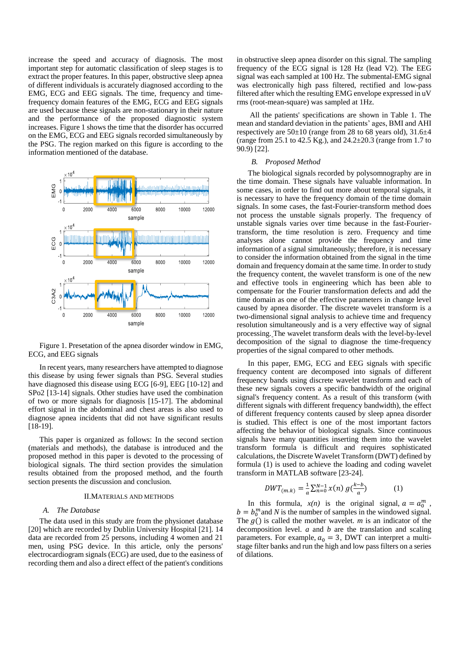increase the speed and accuracy of diagnosis. The most important step for automatic classification of sleep stages is to extract the proper features. In this paper, obstructive sleep apnea of different individuals is accurately diagnosed according to the EMG, ECG and EEG signals. The time, frequency and timefrequency domain features of the EMG, ECG and EEG signals are used because these signals are non-stationary in their nature and the performance of the proposed diagnostic system increases. Figure 1 shows the time that the disorder has occurred on the EMG, ECG and EEG signals recorded simultaneously by the PSG. The region marked on this figure is according to the information mentioned of the database.



Figure 1. Presetation of the apnea disorder window in EMG, ECG, and EEG signals

In recent years, many researchers have attempted to diagnose this disease by using fewer signals than PSG. Several studies have diagnosed this disease using ECG [6-9], EEG [10-12] and SPo2 [13-14] signals. Other studies have used the combination of two or more signals for diagnosis [15-17]. The abdominal effort signal in the abdominal and chest areas is also used to diagnose apnea incidents that did not have significant results [18-19].

This paper is organized as follows: In the second section (materials and methods), the database is introduced and the proposed method in this paper is devoted to the processing of biological signals. The third section provides the simulation results obtained from the proposed method, and the fourth section presents the discussion and conclusion.

## II.MATERIALS AND METHODS

## *A. The Database*

The data used in this study are from the physionet database [20] which are recorded by Dublin University Hospital [21]. 14 data are recorded from 25 persons, including 4 women and 21 men, using PSG device. In this article, only the persons' electrocardiogram signals (ECG) are used, due to the easiness of recording them and also a direct effect of the patient's conditions

in obstructive sleep apnea disorder on this signal. The sampling frequency of the ECG signal is 128 Hz (lead V2). The EEG signal was each sampled at 100 Hz. The submental-EMG signal was electronically high pass filtered, rectified and low-pass filtered after which the resulting EMG envelope expressed in uV rms (root-mean-square) was sampled at 1Hz.

All the patients' specifications are shown in Table 1. The mean and standard deviation in the patients' ages, BMI and AHI respectively are  $50\pm 10$  (range from 28 to 68 years old),  $31.6\pm 4$ (range from 25.1 to 42.5 Kg.), and 24.2±20.3 (range from 1.7 to 90.9) [22].

#### *B. Proposed Method*

The biological signals recorded by polysomnography are in the time domain. These signals have valuable information. In some cases, in order to find out more about temporal signals, it is necessary to have the frequency domain of the time domain signals. In some cases, the fast-Fourier-transform method does not process the unstable signals properly. The frequency of unstable signals varies over time because in the fast-Fouriertransform, the time resolution is zero. Frequency and time analyses alone cannot provide the frequency and time information of a signal simultaneously; therefore, it is necessary to consider the information obtained from the signal in the time domain and frequency domain at the same time. In order to study the frequency content, the wavelet transform is one of the new and effective tools in engineering which has been able to compensate for the Fourier transformation defects and add the time domain as one of the effective parameters in change level caused by apnea disorder. The discrete wavelet transform is a two-dimensional signal analysis to achieve time and frequency resolution simultaneously and is a very effective way of signal processing. The wavelet transform deals with the level-by-level decomposition of the signal to diagnose the time-frequency properties of the signal compared to other methods.

In this paper, EMG, ECG and EEG signals with specific frequency content are decomposed into signals of different frequency bands using discrete wavelet transform and each of these new signals covers a specific bandwidth of the original signal's frequency content. As a result of this transform (with different signals with different frequency bandwidth), the effect of different frequency contents caused by sleep apnea disorder is studied. This effect is one of the most important factors affecting the behavior of biological signals. Since continuous signals have many quantities inserting them into the wavelet transform formula is difficult and requires sophisticated calculations, the Discrete Wavelet Transform (DWT) defined by formula (1) is used to achieve the loading and coding wavelet transform in MATLAB software [23-24].

$$
DWT_{(m,k)} = \frac{1}{a} \sum_{n=0}^{N-1} \chi(n) g(\frac{k-b}{a})
$$
 (1)

In this formula,  $x(n)$  is the original signal,  $a = a_0^m$ ,  $b = b_0^m$  and *N* is the number of samples in the windowed signal. The  $g()$  is called the mother wavelet. *m* is an indicator of the decomposition level. *a* and *b* are the translation and scaling parameters. For example,  $a_0 = 3$ , DWT can interpret a multistage filter banks and run the high and low pass filters on a series of dilations.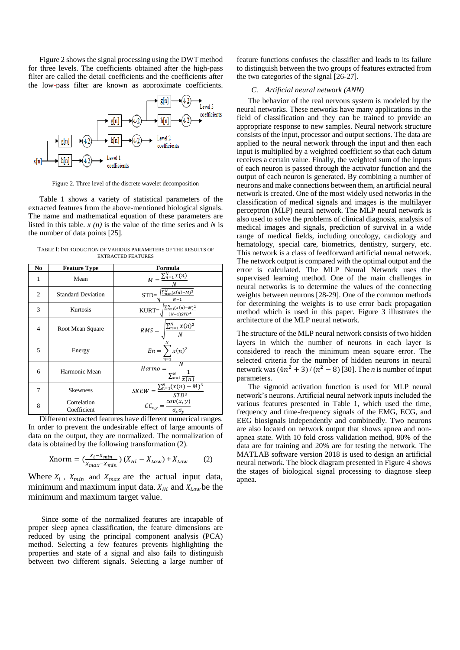Figure 2 shows the signal processing using the DWT method for three levels. The coefficients obtained after the high-pass filter are called the detail coefficients and the coefficients after the low-pass filter are known as approximate coefficients.



Figure 2. Three level of the discrete wavelet decomposition

Table 1 shows a variety of statistical parameters of the extracted features from the above-mentioned biological signals. The name and mathematical equation of these parameters are listed in this table.  $x(n)$  is the value of the time series and N is the number of data points [25].

TABLE I: INTRODUCTION OF VARIOUS PARAMETERS OF THE RESULTS OF EXTRACTED FEATURES

| N <sub>0</sub> | <b>Feature Type</b>        | Formula                                                                       |
|----------------|----------------------------|-------------------------------------------------------------------------------|
| 1              | Mean                       | $M = \frac{\sum_{n=1}^{N} x(n)}{n}$                                           |
| 2              | <b>Standard Deviation</b>  | $\Sigma_{n=1}^N(x(n)-M)^2$<br>$STD=$<br>$N-1$                                 |
| 3              | Kurtosis                   | KURT= $\sqrt{\frac{\sum_{n=1}^{N}(x(n)-M)^2}{(N-1)STD^4}}$                    |
| 4              | Root Mean Square           | $RMS = \sqrt{\frac{\sum_{n=1}^{N} x(n)^2}{N}}$                                |
| 5              | Energy                     | $\overline{N}$<br>$En = \sum x(n)^2$                                          |
| 6              | Harmonic Mean              | $Harmo =$<br>$\frac{1}{SKEW} = \frac{\sum_{n=1}^{N} \frac{1}{\chi(n)}}{SKEW}$ |
| 7              | <b>Skewness</b>            |                                                                               |
| 8              | Correlation<br>Coefficient | $CC_{x,y} = \frac{cov(x,y)}{\sigma_x \sigma_y}$                               |

Different extracted features have different numerical ranges. In order to prevent the undesirable effect of large amounts of data on the output, they are normalized. The normalization of data is obtained by the following transformation (2).

$$
Xnorm = (\frac{X_i - X_{min}}{X_{max} - X_{min}}) (X_{Hi} - X_{Low}) + X_{Low}
$$
 (2)

Where  $X_i$ ,  $X_{min}$  and  $X_{max}$  are the actual input data, minimum and maximum input data.  $X_{Hi}$  and  $X_{Low}$  be the minimum and maximum target value.

Since some of the normalized features are incapable of proper sleep apnea classification, the feature dimensions are reduced by using the principal component analysis (PCA) method. Selecting a few features prevents highlighting the properties and state of a signal and also fails to distinguish between two different signals. Selecting a large number of

feature functions confuses the classifier and leads to its failure to distinguish between the two groups of features extracted from the two categories of the signal [26-27].

#### *C. Artificial neural network (ANN)*

The behavior of the real nervous system is modeled by the neural networks. These networks have many applications in the field of classification and they can be trained to provide an appropriate response to new samples. Neural network structure consists of the input, processor and output sections. The data are applied to the neural network through the input and then each input is multiplied by a weighted coefficient so that each datum receives a certain value. Finally, the weighted sum of the inputs of each neuron is passed through the activator function and the output of each neuron is generated. By combining a number of neurons and make connections between them, an artificial neural network is created. One of the most widely used networks in the classification of medical signals and images is the multilayer perceptron (MLP) neural network. The MLP neural network is also used to solve the problems of clinical diagnosis, analysis of medical images and signals, prediction of survival in a wide range of medical fields, including oncology, cardiology and hematology, special care, biometrics, dentistry, surgery, etc. This network is a class of feedforward artificial neural network. The network output is compared with the optimal output and the error is calculated. The MLP Neural Network uses the supervised learning method. One of the main challenges in neural networks is to determine the values of the connecting weights between neurons [28-29]. One of the common methods for determining the weights is to use error back propagation method which is used in this paper. Figure 3 illustrates the architecture of the MLP neural network.

The structure of the MLP neural network consists of two hidden layers in which the number of neurons in each layer is considered to reach the minimum mean square error. The selected criteria for the number of hidden neurons in neural network was  $(4n^2 + 3)/(n^2 - 8)$  [30]. The *n* is number of input parameters.

The sigmoid activation function is used for MLP neural network's neurons. Artificial neural network inputs included the various features presented in Table 1, which used the time, frequency and time-frequency signals of the EMG, ECG, and EEG biosignals independently and combinedly. Two neurons are also located on network output that shows apnea and nonapnea state. With 10 fold cross validation method, 80% of the data are for training and 20% are for testing the network. The MATLAB software version 2018 is used to design an artificial neural network. The block diagram presented in Figure 4 shows the stages of biological signal processing to diagnose sleep apnea.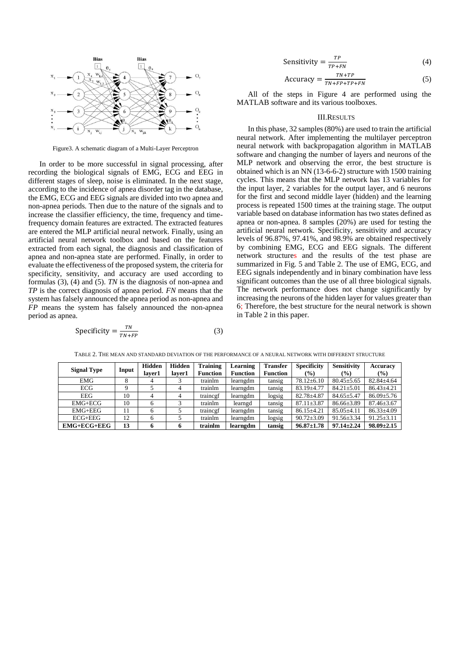

Figure3. A schematic diagram of a Multi-Layer Perceptron

In order to be more successful in signal processing, after recording the biological signals of EMG, ECG and EEG in different stages of sleep, noise is eliminated. In the next stage, according to the incidence of apnea disorder tag in the database, the EMG, ECG and EEG signals are divided into two apnea and non-apnea periods. Then due to the nature of the signals and to increase the classifier efficiency, the time, frequency and timefrequency domain features are extracted. The extracted features are entered the MLP artificial neural network. Finally, using an artificial neural network toolbox and based on the features extracted from each signal, the diagnosis and classification of apnea and non-apnea state are performed. Finally, in order to evaluate the effectiveness of the proposed system, the criteria for specificity, sensitivity, and accuracy are used according to formulas (3), (4) and (5). *TN* is the diagnosis of non-apnea and *TP* is the correct diagnosis of apnea period. *FN* means that the system has falsely announced the apnea period as non-apnea and *FP* means the system has falsely announced the non-apnea period as apnea.

$$
Specificity = \frac{TN}{TN + FP}
$$
 (3)

$$
Sensitivity = \frac{TP}{TP + FN} \tag{4}
$$

$$
Accuracy = \frac{TN + TP}{TN + FP + TP + FN}
$$
 (5)

All of the steps in Figure 4 are performed using the MATLAB software and its various toolboxes.

### III.RESULTS

In this phase, 32 samples (80%) are used to train the artificial neural network. After implementing the multilayer perceptron neural network with backpropagation algorithm in MATLAB software and changing the number of layers and neurons of the MLP network and observing the error, the best structure is obtained which is an NN (13-6-6-2) structure with 1500 training cycles. This means that the MLP network has 13 variables for the input layer, 2 variables for the output layer, and 6 neurons for the first and second middle layer (hidden) and the learning process is repeated 1500 times at the training stage. The output variable based on database information has two states defined as apnea or non-apnea. 8 samples (20%) are used for testing the artificial neural network. Specificity, sensitivity and accuracy levels of 96.87%, 97.41%, and 98.9% are obtained respectively by combining EMG, ECG and EEG signals. The different network structures and the results of the test phase are summarized in Fig. 5 and Table 2. The use of EMG, ECG, and EEG signals independently and in binary combination have less significant outcomes than the use of all three biological signals. The network performance does not change significantly by increasing the neurons of the hidden layer for values greater than 6; Therefore, the best structure for the neural network is shown in Table 2 in this paper.

| <b>Signal Type</b> | Input | <b>Hidden</b><br>laver1 | <b>Hidden</b><br>laver1 | <b>Training</b><br><b>Function</b> | Learning<br><b>Function</b> | <b>Transfer</b><br><b>Function</b> | <b>Specificity</b><br>$\frac{9}{6}$ | <b>Sensitivity</b><br>$\frac{9}{6}$ | Accuracy<br>$\frac{1}{2}$ |
|--------------------|-------|-------------------------|-------------------------|------------------------------------|-----------------------------|------------------------------------|-------------------------------------|-------------------------------------|---------------------------|
| EMG                |       | 4                       |                         | trainlm                            | learngdm                    | tansig                             | $78.12 \pm 6.10$                    | $80.45 \pm 5.65$                    | $82.84 \pm 4.64$          |
| <b>ECG</b>         | Q     |                         |                         | trainlm                            | learngdm                    | tansig                             | $83.19 \pm 4.77$                    | $84.21 \pm 5.01$                    | $86.43 \pm 4.21$          |
| <b>EEG</b>         | 10    | 4                       |                         | traincgf                           | learngdm                    | logsig                             | $82.78 \pm 4.87$                    | $84.65 \pm 5.47$                    | $86.09 \pm 5.76$          |
| $EMG + ECG$        | 10    | 6                       |                         | trainlm                            | learngd                     | tansig                             | $87.11 \pm 3.87$                    | $86.66 \pm 3.89$                    | $87.46 \pm 3.67$          |
| $EMG + EEG$        |       | 6                       |                         | traincef                           | learngdm                    | tansig                             | $86.15 \pm 4.21$                    | $85.05 + 4.11$                      | $86.33 \pm 4.09$          |
| $ECG + EEG$        | 12    | 6                       |                         | trainlm                            | learngdm                    | logsig                             | $90.72 \pm 3.09$                    | $91.56 \pm 3.34$                    | $91.25 \pm 3.11$          |
| $EMG + ECG + EEG$  | 13    | 6                       | 6                       | trainlm                            | learngdm                    | tansig                             | $96.87 \pm 1.78$                    | $97.14 \pm 2.24$                    | $98.09 \pm 2.15$          |

TABLE 2. THE MEAN AND STANDARD DEVIATION OF THE PERFORMANCE OF A NEURAL NETWORK WITH DIFFERENT STRUCTURE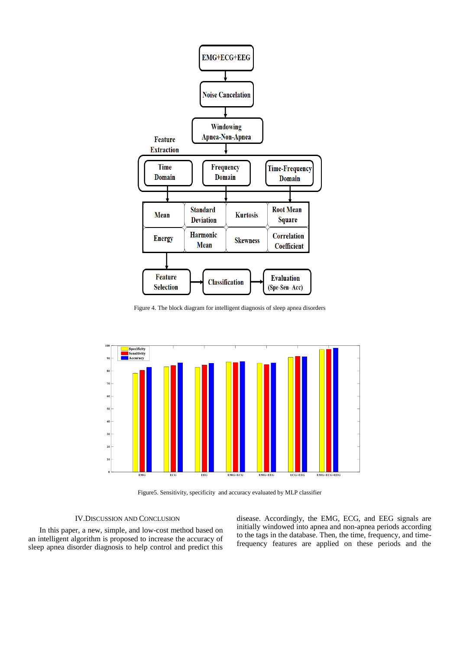

Figure 4. The block diagram for intelligent diagnosis of sleep apnea disorders



Figure5. Sensitivity, specificity and accuracy evaluated by MLP classifier

# IV.DISCUSSION AND CONCLUSION

In this paper, a new, simple, and low-cost method based on an intelligent algorithm is proposed to increase the accuracy of sleep apnea disorder diagnosis to help control and predict this disease. Accordingly, the EMG, ECG, and EEG signals are initially windowed into apnea and non-apnea periods according to the tags in the database. Then, the time, frequency, and timefrequency features are applied on these periods and the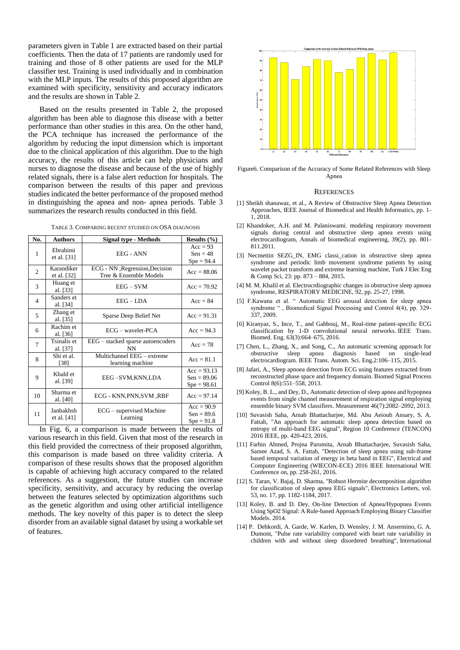parameters given in Table 1 are extracted based on their partial coefficients. Then the data of 17 patients are randomly used for training and those of 8 other patients are used for the MLP classifier test. Training is used individually and in combination with the MLP inputs. The results of this proposed algorithm are examined with specificity, sensitivity and accuracy indicators and the results are shown in Table 2.

Based on the results presented in Table 2, the proposed algorithm has been able to diagnose this disease with a better performance than other studies in this area. On the other hand, the PCA technique has increased the performance of the algorithm by reducing the input dimension which is important due to the clinical application of this algorithm. Due to the high accuracy, the results of this article can help physicians and nurses to diagnose the disease and because of the use of highly related signals, there is a false alert reduction for hospitals. The comparison between the results of this paper and previous studies indicated the better performance of the proposed method in distinguishing the apnea and non- apnea periods. Table 3 summarizes the research results conducted in this field.

TABLE 3. COMPARING RECENT STUDIED ON OSA DIAGNOSIS

| No.            | <b>Authors</b>            | <b>Signal type - Methods</b>                              | Results $(\% )$                                 |  |
|----------------|---------------------------|-----------------------------------------------------------|-------------------------------------------------|--|
| 1              | Ebrahimi<br>et al. [31]   | EEG - ANN                                                 | $Acc = 93$<br>$Sen = 48$<br>$Spe = 94.4$        |  |
| 2              | Karandiker<br>et al. [32] | ECG - NN , Regression, Decision<br>Tree & Ensemble Models | $Acc = 88.06$                                   |  |
| 3              | Huang et<br>al. [33]      | $EEG-SVM$                                                 | $Acc = 70.92$                                   |  |
| $\overline{4}$ | Sanders et<br>al. [34]    | $EEG - LDA$                                               | $Acc = 84$                                      |  |
| 5              | Zhang et<br>al. [35]      | Sparse Deep Belief Net                                    | $Acc = 91.31$                                   |  |
| 6              | Rachim et<br>al. [36]     | $ECG$ – wavelet-PCA                                       | $Acc = 94.3$                                    |  |
| 7              | Tsinalis et<br>al. [37]   | EEG - stacked sparse autoencoders<br><b>NN</b>            | $Acc = 78$                                      |  |
| 8              | Shi et al.<br>$[38]$      | Multichannel EEG - extreme<br>learning machine            | $Acc = 81.1$                                    |  |
| 9              | Khald et<br>al. [39]      | EEG-SVM,KNN,LDA                                           | $Acc = 93.13$<br>$Sen = 89.06$<br>$Spe = 98.61$ |  |
| 10             | Sharma et<br>al. [40]     | ECG - KNN, PNN, SVM, RBF                                  | $Acc = 97.14$                                   |  |
| 11             | Janbakhsh<br>et al. [41]  | ECG – supervised Machine<br>Learning                      | $Acc = 90.9$<br>$Sen = 89.6$<br>$Spe = 91.8$    |  |

In Fig. 6, a comparison is made between the results of various research in this field. Given that most of the research in this field provided the correctness of their proposed algorithm, this comparison is made based on three validity criteria. A comparison of these results shows that the proposed algorithm is capable of achieving high accuracy compared to the related references. As a suggestion, the future studies can increase specificity, sensitivity, and accuracy by reducing the overlap between the features selected by optimization algorithms such as the genetic algorithm and using other artificial intelligence methods. The key novelty of this paper is to detect the sleep disorder from an available signal dataset by using a workable set of features.



Figure6. Comparison of the Accuracy of Some Related References with Sleep Apnea

#### **REFERENCES**

- [1] Sheikh shanawaz, et al., A Review of Obstructive Sleep Apnea Detection Approaches, IEEE Journal of Biomedical and Health Informatics, pp. 1- 1, 2018.
- [2] Khandoker, A.H. and M. Palaniswami. modeling respiratory movement signals during central and obstructive sleep apnea events using electrocardiogram, Annals of biomedical engineering, 39(2), pp. 801- 811.2011.
- [3] Necmettin SEZG\_IN, EMG classi\_cation in obstructive sleep apnea syndrome and periodic limb movement syndrome patients by using wavelet packet transform and extreme learning machine, Turk J Elec Eng & Comp Sci, 23: pp. 873 – 884, 2015.
- [4] M. M. Khalil et al. Electrocrdiographic changes in obstructive sleep apnoea syndrome, RESPIRATORY MEDICINE, 92, pp. 25-27, 1998.
- [5] F.Kawana et al. " Automatic EEG arousal detection for sleep apnea syndrome ", Biomedical Signal Processing and Control 4(4), pp. 329-337, 2009.
- [6] Kiranyaz, S., Ince, T., and Gabbouj, M., Real-time patient-specific ECG classification by 1-D convolutional neural networks. IEEE Trans. Biomed. Eng. 63(3):664–675, 2016.
- [7] Chen, L., Zhang, X., and Song, C., An automatic screening approach for obstructive sleep apnea diagnosis based on single-lead electrocardiogram. IEEE Trans. Autom. Sci. Eng.2:106–115, 2015.
- [8] Jafari, A., Sleep apnoea detection from ECG using features extracted from reconstructed phase space and frequency domain. Biomed Signal Process Control 8(6):551–558, 2013.
- [9] Koley, B. L., and Dey, D., Automatic detection of sleep apnea and hypopnea events from single channel measurement of respiration signal employing ensemble binary SVM classifiers. Measurement 46(7):2082–2092, 2013.
- [10] Suvasish Saha, Arnab Bhattacharjee, Md. Abu Aeioub Ansary, S. A. Fattah, "An approach for automatic sleep apnea detection based on entropy of multi-band EEG signal", Region 10 Conference (TENCON) 2016 IEEE, pp. 420-423, 2016.
- [11] Farhin Ahmed, Projna Paromita, Arnab Bhattacharjee, Suvasish Saha, Samee Azad, S. A. Fattah, "Detection of sleep apnea using sub-frame based temporal variation of energy in beta band in EEG", Electrical and Computer Engineering (WIECON-ECE) 2016 IEEE International WIE Conference on, pp. 258-261, 2016.
- [12] S. Taran, V. Bajaj, D. Sharma, "Robust Hermite decomposition algorithm for classification of sleep apnea EEG signals", Electronics Letters, vol. 53, no. 17, pp. 1182-1184, 2017.
- [13] Koley, B. and D. Dey, On-line Detection of Apnea/Hypopnea Events Using SpO2 Signal: A Rule-based Approach Employing Binary Classifier Models. 2014.
- [14] P. Dehkordi, A. Garde, W. Karlen, D. Wensley, J. M. Ansermino, G. A. Dumont, "Pulse rate variability compared with heart rate variability in children with and without sleep disordered breathing", International